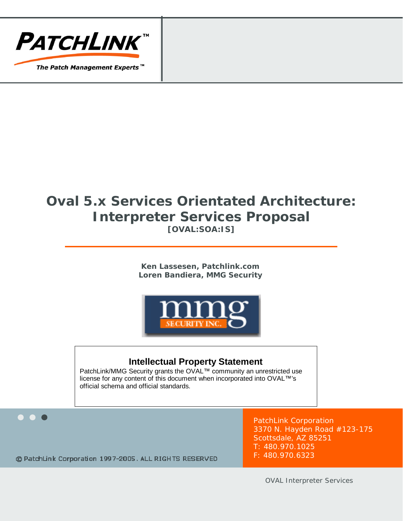

# **Oval 5.x Services Orientated Architecture: Interpreter Services Proposal [OVAL:SOA:IS]**

**Ken Lassesen, Patchlink.com Loren Bandiera, MMG Security**



## **Intellectual Property Statement**

PatchLink/MMG Security grants the OVAL™ community an unrestricted use license for any content of this document when incorporated into OVAL™'s official schema and official standards.



PatchLink Corporation 3370 N. Hayden Road #123-175 Scottsdale, AZ 85251 T: 480.970.1025 F: 480.970.6323

@ PatchLink Corporation 1997-2005. ALL RIGHTS RESERVED

OVAL Interpreter Services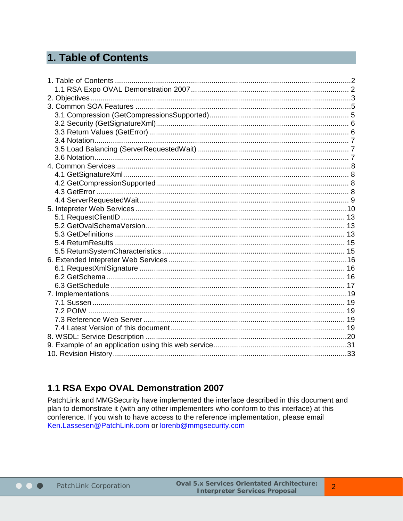# 1. Table of Contents

# 1.1 RSA Expo OVAL Demonstration 2007

PatchLink and MMGSecurity have implemented the interface described in this document and plan to demonstrate it (with any other implementers who conform to this interface) at this conference. If you wish to have access to the reference implementation, please email Ken.Lassesen@PatchLink.com or lorenb@mmgsecurity.com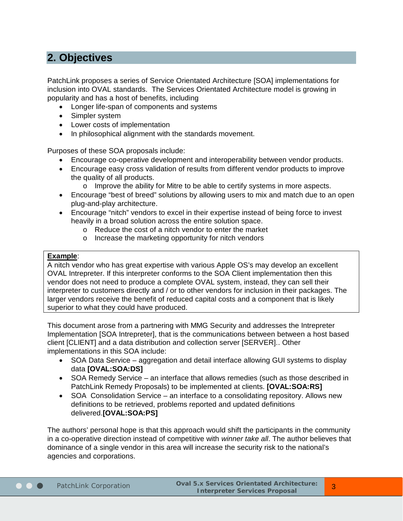# **2. Objectives**

PatchLink proposes a series of Service Orientated Architecture [SOA] implementations for inclusion into OVAL standards. The Services Orientated Architecture model is growing in popularity and has a host of benefits, including

- Longer life-span of components and systems
- Simpler system
- Lower costs of implementation
- In philosophical alignment with the standards movement.

Purposes of these SOA proposals include:

- Encourage co-operative development and interoperability between vendor products.
- Encourage easy cross validation of results from different vendor products to improve the quality of all products.
	- $\circ$  Improve the ability for Mitre to be able to certify systems in more aspects.
- Encourage "best of breed" solutions by allowing users to mix and match due to an open plug-and-play architecture.
- Encourage "nitch" vendors to excel in their expertise instead of being force to invest heavily in a broad solution across the entire solution space.
	- o Reduce the cost of a nitch vendor to enter the market
	- o Increase the marketing opportunity for nitch vendors

#### **Example**:

A nitch vendor who has great expertise with various Apple OS's may develop an excellent OVAL Intrepreter. If this interpreter conforms to the SOA Client implementation then this vendor does not need to produce a complete OVAL system, instead, they can sell their interpreter to customers directly and / or to other vendors for inclusion in their packages. The larger vendors receive the benefit of reduced capital costs and a component that is likely superior to what they could have produced.

This document arose from a partnering with MMG Security and addresses the Intrepreter Implementation [SOA Intrepreter], that is the communications between between a host based client [CLIENT] and a data distribution and collection server [SERVER].. Other implementations in this SOA include:

- SOA Data Service aggregation and detail interface allowing GUI systems to display data **[OVAL:SOA:DS]**
- SOA Remedy Service an interface that allows remedies (such as those described in PatchLink Remedy Proposals) to be implemented at clients. **[OVAL:SOA:RS]**
- SOA Consolidation Service an interface to a consolidating repository. Allows new definitions to be retrieved, problems reported and updated definitions delivered.**[OVAL:SOA:PS]**

The authors' personal hope is that this approach would shift the participants in the community in a co-operative direction instead of competitive with *winner take all*. The author believes that dominance of a single vendor in this area will increase the security risk to the national's agencies and corporations.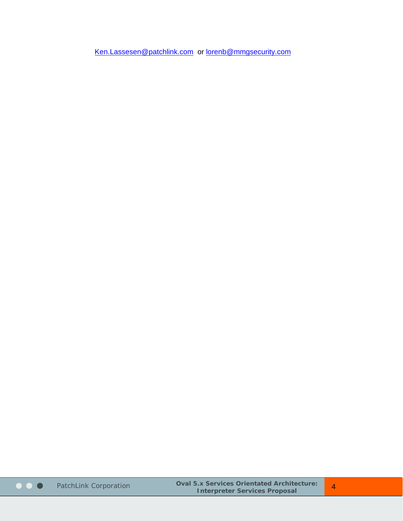Ken.Lassesen@patchlink.com or lorenb@mmgsecurity.com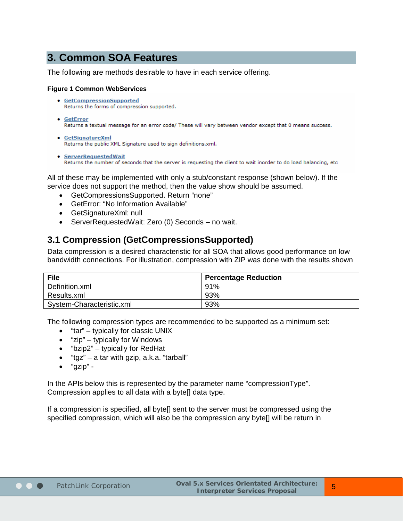# **3. Common SOA Features**

The following are methods desirable to have in each service offering.

#### **Figure 1 Common WebServices**

- · GetCompressionSupported Returns the forms of compression supported.
- GetError Returns a textual message for an error code/ These will vary between vendor except that 0 means success.
- GetSignatureXml Returns the public XML Signature used to sign definitions.xml.
- ServerRequestedWait Returns the number of seconds that the server is requesting the client to wait inorder to do load balancing, etc

All of these may be implemented with only a stub/constant response (shown below). If the service does not support the method, then the value show should be assumed.

- GetCompressionsSupported. Return "none"
- GetError: "No Information Available"
- GetSignatureXml: null
- ServerRequestedWait: Zero (0) Seconds no wait.

#### **3.1 Compression (GetCompressionsSupported)**

Data compression is a desired characteristic for all SOA that allows good performance on low bandwidth connections. For illustration, compression with ZIP was done with the results shown

| <b>File</b>               | <b>Percentage Reduction</b> |
|---------------------------|-----------------------------|
| Definition.xml            | 91%                         |
| Results.xml               | 93%                         |
| System-Characteristic.xml | 93%                         |

The following compression types are recommended to be supported as a minimum set:

- $\bullet$  "tar" typically for classic UNIX
- $\bullet$  "zip" typically for Windows
- "bzip2" typically for RedHat
- $\bullet$  "tgz" a tar with gzip, a.k.a. "tarball"
- "gzip" -

In the APIs below this is represented by the parameter name "compressionType". Compression applies to all data with a byte[] data type.

If a compression is specified, all byte[] sent to the server must be compressed using the specified compression, which will also be the compression any byte[] will be return in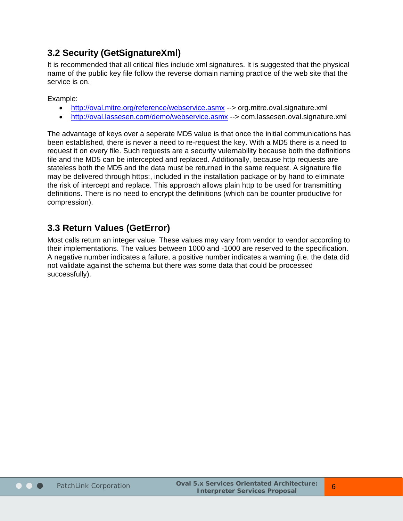# **3.2 Security (GetSignatureXml)**

It is recommended that all critical files include xml signatures. It is suggested that the physical name of the public key file follow the reverse domain naming practice of the web site that the service is on.

Example:

- http://oval.mitre.org/reference/webservice.asmx --> org.mitre.oval.signature.xml
- http://oval.lassesen.com/demo/webservice.asmx --> com.lassesen.oval.signature.xml

The advantage of keys over a seperate MD5 value is that once the initial communications has been established, there is never a need to re-request the key. With a MD5 there is a need to request it on every file. Such requests are a security vulernability because both the definitions file and the MD5 can be intercepted and replaced. Additionally, because http requests are stateless both the MD5 and the data must be returned in the same request. A signature file may be delivered through https:, included in the installation package or by hand to eliminate the risk of intercept and replace. This approach allows plain http to be used for transmitting definitions. There is no need to encrypt the definitions (which can be counter productive for compression).

## **3.3 Return Values (GetError)**

Most calls return an integer value. These values may vary from vendor to vendor according to their implementations. The values between 1000 and -1000 are reserved to the specification. A negative number indicates a failure, a positive number indicates a warning (i.e. the data did not validate against the schema but there was some data that could be processed successfully).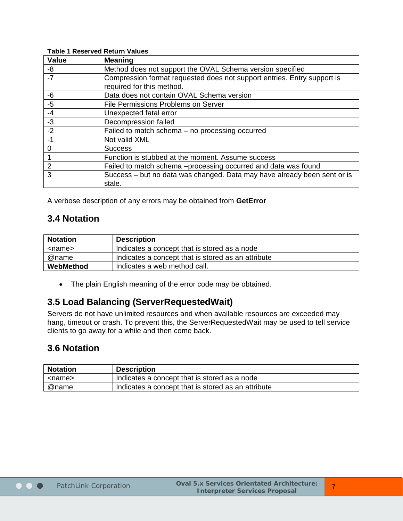| <b>Value</b>   | TAMIG TIRGSGI VGU IRGLUITI VAIUGS<br><b>Meaning</b>                      |
|----------------|--------------------------------------------------------------------------|
| $-8$           | Method does not support the OVAL Schema version specified                |
|                |                                                                          |
| $-7$           | Compression format requested does not support entries. Entry support is  |
|                | required for this method.                                                |
| -6             | Data does not contain OVAL Schema version                                |
| $-5$           | File Permissions Problems on Server                                      |
| $-4$           | Unexpected fatal error                                                   |
| $-3$           | Decompression failed                                                     |
| $-2$           | Failed to match schema - no processing occurred                          |
| $-1$           | Not valid XML                                                            |
| $\overline{0}$ | <b>Success</b>                                                           |
|                | Function is stubbed at the moment. Assume success                        |
| $\overline{2}$ | Failed to match schema -processing occurred and data was found           |
| 3              | Success - but no data was changed. Data may have already been sent or is |
|                | stale.                                                                   |

#### **Table 1 Reserved Return Values**

A verbose description of any errors may be obtained from **GetError**

#### **3.4 Notation**

| <b>Notation</b> | <b>Description</b>                                 |
|-----------------|----------------------------------------------------|
| <name></name>   | Indicates a concept that is stored as a node       |
| @name           | Indicates a concept that is stored as an attribute |
| WebMethod       | Indicates a web method call.                       |

• The plain English meaning of the error code may be obtained.

### **3.5 Load Balancing (ServerRequestedWait)**

Servers do not have unlimited resources and when available resources are exceeded may hang, timeout or crash. To prevent this, the ServerRequestedWait may be used to tell service clients to go away for a while and then come back.

#### **3.6 Notation**

| <b>Notation</b> | <b>Description</b>                                 |
|-----------------|----------------------------------------------------|
| <name></name>   | Indicates a concept that is stored as a node       |
| @name           | Indicates a concept that is stored as an attribute |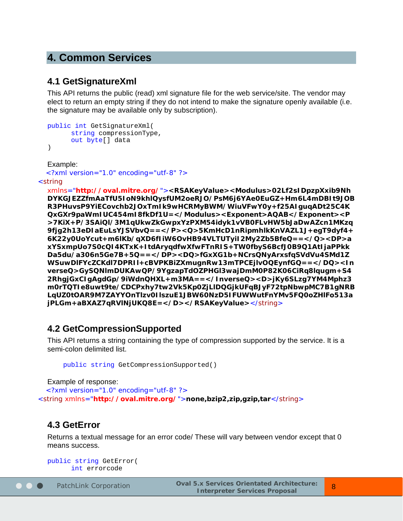# **4. Common Services**

### **4.1 GetSignatureXml**

This API returns the public (read) xml signature file for the web service/site. The vendor may elect to return an empty string if they do not intend to make the signature openly available (i.e. the signature may be available only by subscription).

```
public int GetSignatureXml(
      string compressionType,
      out byte[] data
)
```
Example:

```
<?xml version="1.0" encoding="utf-8" ?>
```
<string

```
xmlns="http://oval.mitre.org/"><RSAKeyValue><Modulus>02Lf2sIDpzpXxib9Nh
DYKGJEZZfmAaTfU5IoN9khlQysfUM2oeRJO/PsM6j6YAe0EuGZ+Hm6L4mDBIt9JOB
R3PHuvsP9YiECovchb2JOxTmIk9wHCRMyBWM/WiuVFwY0y+f25AIguqADt25C4K
QxGXr9paWmIUC454mI8fkDf1U=</Modulus><Exponent>AQAB</Exponent><P
>7KiX+P/3SAiQl/3M1qUkwZkGwpxYzPXM54idyk1vVB0FLvHW5bJaDwAZcn1MKzq
9fjg2h13eDIaEuLsYJSVbvQ==</P><Q>5KmHcD1nRipmhlkKnVAZL1J+egT9dyf4+
6K22y0UoYcut+m6lKb/qXD6fIiW6OvHB94VLTUTyiI2My2Zb5BfeQ==</Q><DP>a
xYSxmpUo7S0cQI4KTxK+ItdAryqdfwXfwFTnRIS+TW0fbyS6BcfJ0B9Q1AtIjaPPkk
Da5du/a306n5Ge7B+5Q==</DP><DQ>fGxXG1b+NCrsQNyArxsfqSVdVu4SMd1Z
WSuwDlFYcZCKdl7DPRIl+cBVPKBiZXmugnRw13mTPCEjlvOQEynfGQ==</DQ><In
verseQ>GySQNlmDUKAwQP/9YgzapTdOZPHGl3wajDmM0P82K06CiRq8lqugm+S4
2RhgjGxCIgAgdGp/9iWdnQHXL+m3MA==</InverseQ><D>jKy6SLzg7YM4Mphz3
m0rTQTIe8uwt9te/CDCPxhy7tw2Vk5Kp0ZjLlDQGjkUFqBJyF72tpNbwpMC7B1gNRB
LqUZ0tOAR9M7ZAYYOnTlzv0IlszuE1JBW60NzD5IFUWWutFnYMv5FQ0oZHlFo513a
jPLGm+aBXAZ7qRVlNjUKQ8E=</D></RSAKeyValue></string>
```
### **4.2 GetCompressionSupported**

This API returns a string containing the type of compression supported by the service. It is a semi-colon delimited list.

public string GetCompressionSupported()

Example of response:

```
<?xml version="1.0" encoding="utf-8" ?>
<string xmlns="http://oval.mitre.org/">none,bzip2,zip,gzip,tar</string>
```
### **4.3 GetError**

Returns a textual message for an error code/ These will vary between vendor except that 0 means success.

```
public string GetError(
      int errorcode
```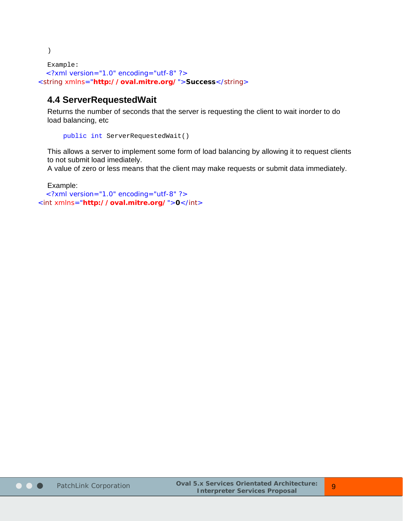```
Example:
  <?xml version="1.0" encoding="utf-8" ?>
<string xmlns="http://oval.mitre.org/">Success</string>
```
## **4.4 ServerRequestedWait**

Returns the number of seconds that the server is requesting the client to wait inorder to do load balancing, etc

```
public int ServerRequestedWait()
```
This allows a server to implement some form of load balancing by allowing it to request clients to not submit load imediately.

A value of zero or less means that the client may make requests or submit data immediately.

Example:

)

```
<?xml version="1.0" encoding="utf-8" ?>
<int xmlns="http://oval.mitre.org/">0</int>
```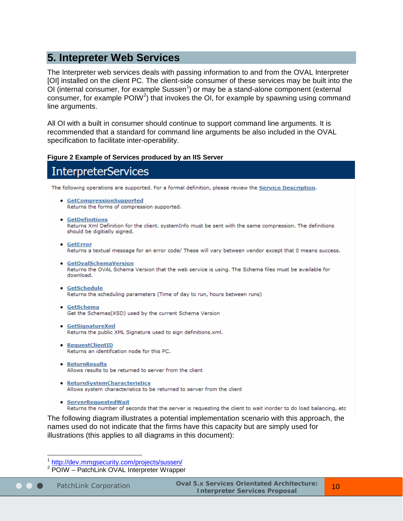# **5. Intepreter Web Services**

The Interpreter web services deals with passing information to and from the OVAL Interpreter [OI] installed on the client PC. The client-side consumer of these services may be built into the OI (internal consumer, for example Sussen<sup>1</sup>) or may be a stand-alone component (external consumer, for example POIW<sup>2</sup>) that invokes the OI, for example by spawning using command line arguments.

All OI with a built in consumer should continue to support command line arguments. It is recommended that a standard for command line arguments be also included in the OVAL specification to facilitate inter-operability.

#### **Figure 2 Example of Services produced by an IIS Server**

## **InterpreterServices**

The following operations are supported. For a formal definition, please review the Service Description.

- GetCompressionSupported Returns the forms of compression supported.
- GetDefinitions Returns Xml Definition for the client. systemInfo must be sent with the same compression. The definitions should be digitially signed.
- GetError Returns a textual message for an error code/ These will vary between vendor except that 0 means success.
- · GetOvalSchemaVersion Returns the OVAL Schema Version that the web service is using. The Schema files must be available for download.
- GetSchedule Returns the scheduling parameters (Time of day to run, hours between runs)
- · GetSchema Get the Schemas(XSD) used by the current Schema Version
- GetSignatureXml Returns the public XML Signature used to sign definitions.xml.
- RequestClientID Returns an identifcation node for this PC.
- · ReturnResults Allows results to be returned to server from the client
- · ReturnSystemCharacteristics Allows system characteristics to be returned to server from the client
- · ServerRequestedWait Returns the number of seconds that the server is requesting the client to wait inorder to do load balancing, etc

The following diagram illustrates a potential implementation scenario with this approach, the names used do not indicate that the firms have this capacity but are simply used for illustrations (this applies to all diagrams in this document):

<sup>&</sup>lt;sup>1</sup> http://dev.mmgsecurity.com/projects/sussen/

<sup>&</sup>lt;sup>2</sup> POIW - PatchLink OVAL Interpreter Wrapper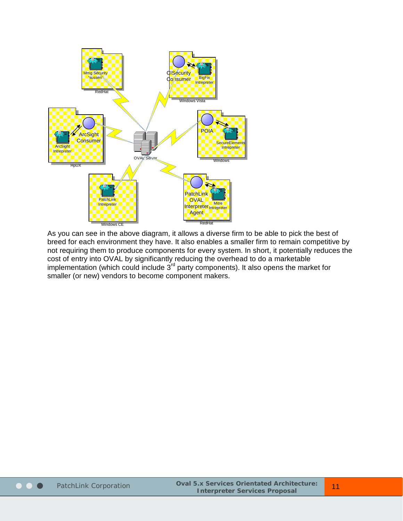

As you can see in the above diagram, it allows a diverse firm to be able to pick the best of breed for each environment they have. It also enables a smaller firm to remain competitive by not requiring them to produce components for every system. In short, it potentially reduces the cost of entry into OVAL by significantly reducing the overhead to do a marketable implementation (which could include  $3<sup>rd</sup>$  party components). It also opens the market for smaller (or new) vendors to become component makers.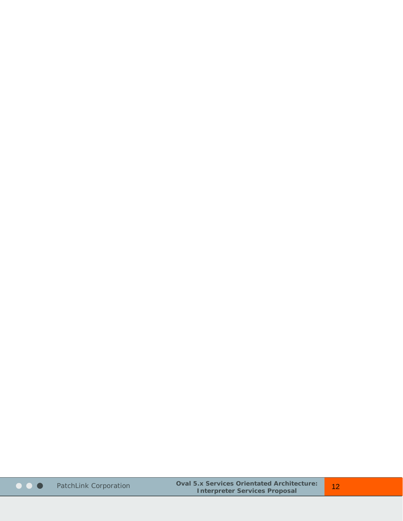$\bullet\bullet\bullet$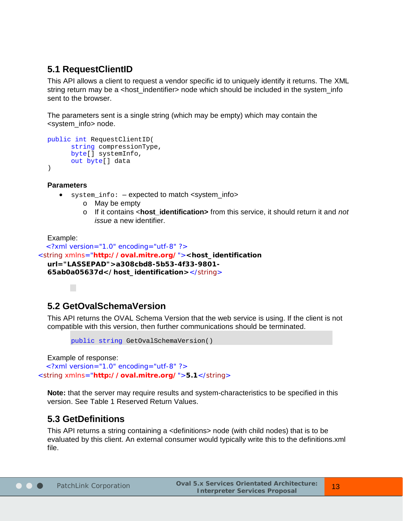# **5.1 RequestClientID**

This API allows a client to request a vendor specific id to uniquely identify it returns. The XML string return may be a <host indentifier> node which should be included in the system info sent to the browser.

The parameters sent is a single string (which may be empty) which may contain the <system\_info> node.

```
public int RequestClientID(
       string compressionType,
      byte[] systemInfo,
       out byte[] data
\left( \right)
```
#### **Parameters**

- system\_info: expected to match <system\_info>
	- o May be empty
	- o If it contains <**host\_identification>** from this service, it should return it and *not issue* a new identifier.

#### Example:

```
<?xml version="1.0" encoding="utf-8" ?>
<string xmlns="http://oval.mitre.org/"><host_identification
  url="LASSEPAD">a308cbd8-5b53-4f33-9801-
  65ab0a05637d</host_identification></string>
```
# **5.2 GetOvalSchemaVersion**

This API returns the OVAL Schema Version that the web service is using. If the client is not compatible with this version, then further communications should be terminated.

public string GetOvalSchemaVersion()

Example of response:

<?xml version="1.0" encoding="utf-8" ?> <string xmlns="**http://oval.mitre.org/**">**5.1**</string>

**Note:** that the server may require results and system-characteristics to be specified in this version. See Table 1 Reserved Return Values.

### **5.3 GetDefinitions**

This API returns a string containing a <definitions> node (with child nodes) that is to be evaluated by this client. An external consumer would typically write this to the definitions.xml file.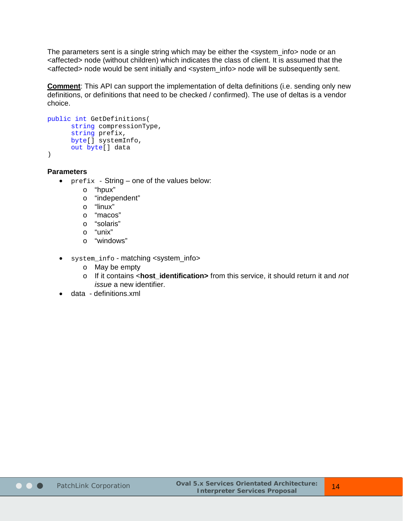The parameters sent is a single string which may be either the  $\leq$  system info > node or an <affected> node (without children) which indicates the class of client. It is assumed that the <affected> node would be sent initially and <system\_info> node will be subsequently sent.

**Comment**: This API can support the implementation of delta definitions (i.e. sending only new definitions, or definitions that need to be checked / confirmed). The use of deltas is a vendor choice.

```
public int GetDefinitions(
      string compressionType,
      string prefix,
      byte[] systemInfo,
      out byte[] data
)
```
#### **Parameters**

- $\bullet$  prefix String one of the values below:
	- o "hpux"
	- o "independent"
	- o "linux"
	- o "macos"
	- o "solaris"
	- "unix"
	- o "windows"
- system\_info matching <system\_info>
	- o May be empty
	- o If it contains <**host\_identification>** from this service, it should return it and *not issue* a new identifier.
- data definitions.xml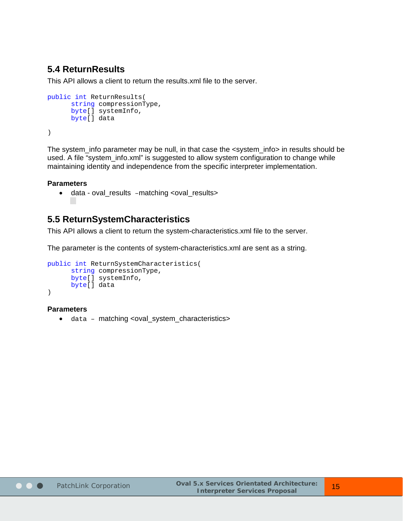## **5.4 ReturnResults**

This API allows a client to return the results.xml file to the server.

```
public int ReturnResults(
      string compressionType,
      byte[] systemInfo,
      byte[] data
)
```
The system\_info parameter may be null, in that case the <system\_info> in results should be used. A file "system info.xml" is suggested to allow system configuration to change while maintaining identity and independence from the specific interpreter implementation.

#### **Parameters**

• data - oval\_results -matching <oval\_results>

## **5.5 ReturnSystemCharacteristics**

This API allows a client to return the system-characteristics.xml file to the server.

The parameter is the contents of system-characteristics.xml are sent as a string.

```
public int ReturnSystemCharacteristics(
      string compressionType,
      byte[] systemInfo,
      byte[] data
)
```
#### **Parameters**

• data - matching <oval\_system\_characteristics>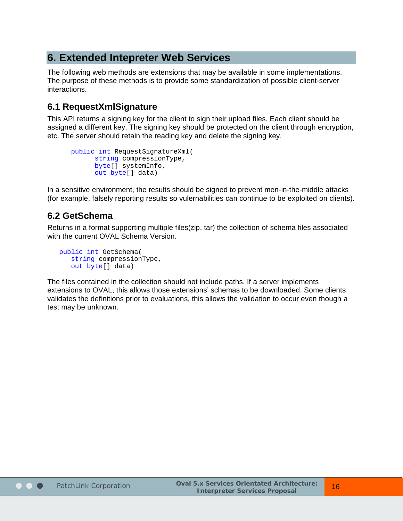# **6. Extended Intepreter Web Services**

The following web methods are extensions that may be available in some implementations. The purpose of these methods is to provide some standardization of possible client-server interactions.

## **6.1 RequestXmlSignature**

This API returns a signing key for the client to sign their upload files. Each client should be assigned a different key. The signing key should be protected on the client through encryption, etc. The server should retain the reading key and delete the signing key.

```
public int RequestSignatureXml(
      string compressionType,
      byte[] systemInfo,
      out byte[] data)
```
In a sensitive environment, the results should be signed to prevent men-in-the-middle attacks (for example, falsely reporting results so vulernabilities can continue to be exploited on clients).

## **6.2 GetSchema**

Returns in a format supporting multiple files(zip, tar) the collection of schema files associated with the current OVAL Schema Version.

```
public int GetSchema(
   string compressionType,
   out byte[] data)
```
The files contained in the collection should not include paths. If a server implements extensions to OVAL, this allows those extensions' schemas to be downloaded. Some clients validates the definitions prior to evaluations, this allows the validation to occur even though a test may be unknown.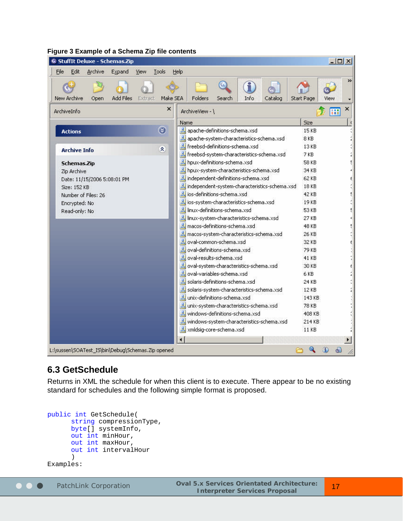| G StuffIt Deluxe - Schemas.Zip<br>Edit            |                     |                 |                           |                                                 |                                           |      |         |              | $ \Box$ $\times$ |
|---------------------------------------------------|---------------------|-----------------|---------------------------|-------------------------------------------------|-------------------------------------------|------|---------|--------------|------------------|
| Archive<br>File<br>New Archive<br>Open            | Expand<br>Add Files | View<br>Extract | Help<br>Tools<br>Make SEA | Folders                                         | Search                                    | Info | Catalog | Start Page   | View             |
| ArchiveInfo                                       |                     |                 | ×                         | ArchiveView - \                                 |                                           |      |         |              | m                |
|                                                   |                     |                 |                           | Name                                            |                                           |      |         | Size         |                  |
| <b>Actions</b>                                    |                     |                 | Ø                         | & apache-definitions-schema.xsd                 |                                           |      |         | 15 KB        |                  |
|                                                   |                     |                 |                           | & apache-system-characteristics-schema.xsd      |                                           |      |         | 8KB          |                  |
| <b>Archive Info</b>                               |                     |                 | $\hat{\mathbf{x}}$        | 품 freebsd-definitions-schema.xsd                |                                           |      |         | 13 KB        |                  |
|                                                   |                     |                 |                           | 禺                                               | freebsd-system-characteristics-schema.xsd |      |         | 7 KB         |                  |
| <b>Schemas.Zip</b>                                |                     |                 |                           | 圖 hpux-definitions-schema.xsd                   |                                           |      |         | <b>58 KB</b> |                  |
| Zip Archive                                       |                     |                 |                           | 품 hpux-system-characteristics-schema.xsd        |                                           |      |         | 34 KB        |                  |
| Date: 11/15/2006 5:08:01 PM                       |                     |                 |                           | & independent-definitions-schema.xsd            |                                           |      |         | 62 KB        |                  |
| Size: 152 KB                                      |                     |                 |                           | 品 independent-system-characteristics-schema.xsd |                                           |      |         | 18 KB        |                  |
| Number of Files: 26                               |                     |                 |                           | & ios-definitions-schema.xsd                    |                                           |      |         | 42 KB        |                  |
| Encrypted: No                                     |                     |                 |                           | & ios-system-characteristics-schema.xsd         |                                           |      |         | 19 KB        |                  |
| Read-only: No                                     |                     |                 |                           | 品 linux-definitions-schema.xsd                  |                                           |      |         |              |                  |
|                                                   |                     |                 |                           | 육 linux-system-characteristics-schema.xsd       |                                           |      |         | 27 KB        |                  |
|                                                   |                     |                 |                           | & macos-definitions-schema.xsd                  |                                           |      |         | 48 KB        |                  |
|                                                   |                     |                 |                           | R macos-system-characteristics-schema.xsd       |                                           |      |         | 26 KB        |                  |
|                                                   |                     |                 |                           | & oval-common-schema.xsd                        |                                           |      |         | 32 KB        |                  |
|                                                   |                     |                 |                           | & oval-definitions-schema, xsd                  |                                           |      |         | 79 KB        |                  |
|                                                   |                     |                 |                           | & oval-results-schema.xsd                       |                                           |      |         | 41 KB        |                  |
|                                                   |                     |                 |                           | & oval-system-characteristics-schema.xsd        |                                           |      |         | 30 KB        |                  |
|                                                   |                     |                 |                           | Roval-variables-schema.xsd                      |                                           |      |         | 6KB          |                  |
|                                                   |                     |                 |                           | & solaris-definitions-schema.xsd                |                                           |      |         | 24 KB        |                  |
|                                                   |                     |                 |                           | solaris-system-characteristics-schema.xsd       |                                           |      |         | 12 KB        |                  |
|                                                   |                     |                 |                           | & unix-definitions-schema.xsd                   |                                           |      |         | 143 KB       |                  |
|                                                   |                     |                 |                           | R unix-system-characteristics-schema.xsd        |                                           |      |         | 78 KB        |                  |
|                                                   |                     |                 |                           | & windows-definitions-schema.xsd                |                                           |      |         | 408 KB       |                  |
|                                                   |                     |                 |                           | 품 windows-system-characteristics-schema.xsd     |                                           |      |         | 214 KB       |                  |
|                                                   |                     |                 |                           | & xmldsig-core-schema.xsd                       |                                           |      |         | 11 KB        |                  |
|                                                   |                     |                 |                           | $\blacksquare$                                  |                                           |      |         |              |                  |
| L:\sussen\SOATest_IS\bin\Debug\Schemas.Zip opened |                     |                 |                           |                                                 |                                           |      |         |              | Ð                |

#### **Figure 3 Example of a Schema Zip file contents**

## **6.3 GetSchedule**

Returns in XML the schedule for when this client is to execute. There appear to be no existing standard for schedules and the following simple format is proposed.

```
public int GetSchedule(
      string compressionType,
      byte[] systemInfo,
      out int minHour,
      out int maxHour,
      out int intervalHour
      )
Examples:
```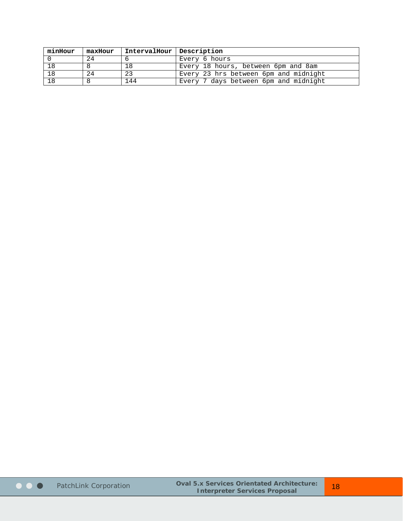| minHour | maxHour | IntervalHour   Description |                                       |
|---------|---------|----------------------------|---------------------------------------|
|         | 2.4     |                            | Every 6 hours                         |
| 18      |         | 18                         | Every 18 hours, between 6pm and 8am   |
|         | 2.4     | 23                         | Every 23 hrs between 6pm and midnight |
| 18      |         | 144                        | Every 7 days between 6pm and midnight |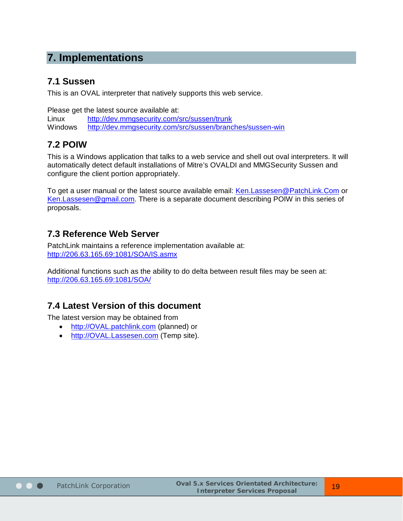# **7. Implementations**

## **7.1 Sussen**

This is an OVAL interpreter that natively supports this web service.

Please get the latest source available at:

Linux http://dev.mmgsecurity.com/src/sussen/trunk Windows http://dev.mmgsecurity.com/src/sussen/branches/sussen-win

# **7.2 POIW**

This is a Windows application that talks to a web service and shell out oval interpreters. It will automatically detect default installations of Mitre's OVALDI and MMGSecurity Sussen and configure the client portion appropriately.

To get a user manual or the latest source available email: Ken.Lassesen@PatchLink.Com or Ken.Lassesen@gmail.com. There is a separate document describing POIW in this series of proposals.

## **7.3 Reference Web Server**

PatchLink maintains a reference implementation available at: http://206.63.165.69:1081/SOA/IS.asmx

Additional functions such as the ability to do delta between result files may be seen at: http://206.63.165.69:1081/SOA/

## **7.4 Latest Version of this document**

The latest version may be obtained from

- http://OVAL.patchlink.com (planned) or
- http://OVAL.Lassesen.com (Temp site).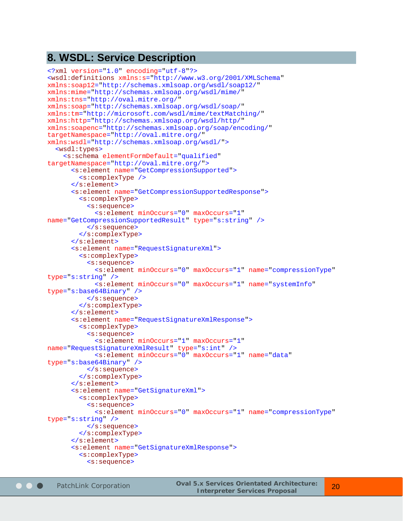# **8. WSDL: Service Description**

```
<?xml version="1.0" encoding="utf-8"?>
<wsdl:definitions xmlns:s="http://www.w3.org/2001/XMLSchema"
xmlns:soap12="http://schemas.xmlsoap.org/wsdl/soap12/"
xmlns:mime="http://schemas.xmlsoap.org/wsdl/mime/"
xmlns:tns="http://oval.mitre.org/"
xmlns:soap="http://schemas.xmlsoap.org/wsdl/soap/"
xmlns:tm="http://microsoft.com/wsdl/mime/textMatching/"
xmlns:http="http://schemas.xmlsoap.org/wsdl/http/"
xmlns:soapenc="http://schemas.xmlsoap.org/soap/encoding/"
targetNamespace="http://oval.mitre.org/"
xmlns:wsdl="http://schemas.xmlsoap.org/wsdl/">
  <wsdl:types>
    <s:schema elementFormDefault="qualified"
targetNamespace="http://oval.mitre.org/">
      <s:element name="GetCompressionSupported">
        <s:complexType />
      </s:element>
      <s:element name="GetCompressionSupportedResponse">
        <s:complexType>
          <s:sequence>
            <s:element minOccurs="0" maxOccurs="1"
name="GetCompressionSupportedResult" type="s:string" />
          </s:sequence>
        </s:complexType>
      </s:element>
      <s:element name="RequestSignatureXml">
        <s:complexType>
          <s:sequence>
            <s:element minOccurs="0" maxOccurs="1" name="compressionType"
type="s:string" />
            <s:element minOccurs="0" maxOccurs="1" name="systemInfo"
type="s:base64Binary" />
          </s:sequence>
        </s:complexType>
      </s:element>
      <s:element name="RequestSignatureXmlResponse">
        <s:complexType>
          <s:sequence>
            <s:element minOccurs="1" maxOccurs="1"
name="RequestSignatureXmlResult" type="s:int" />
            <s:element minOccurs="0" maxOccurs="1" name="data"
type="s:base64Binary" />
          </s:sequence>
        </s:complexType>
      </s:element>
      <s:element name="GetSignatureXml">
        <s:complexType>
          <s:sequence>
            <s:element minOccurs="0" maxOccurs="1" name="compressionType"
type="s:string" />
          </s:sequence>
        </s:complexType>
      </s:element>
      <s:element name="GetSignatureXmlResponse">
        <s:complexType>
          <s:sequence>
```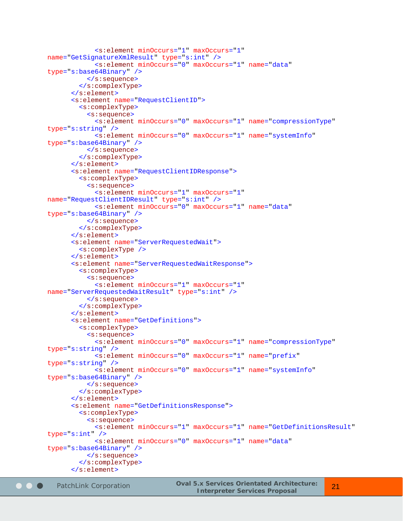```
<s:element minOccurs="1" maxOccurs="1"
name="GetSignatureXmlResult" type="s:int" />
            <s:element minOccurs="0" maxOccurs="1" name="data"
type="s:base64Binary" />
          </s:sequence>
        </s:complexType>
      </s:element>
      <s:element name="RequestClientID">
        <s:complexType>
          <s:sequence>
            <s:element minOccurs="0" maxOccurs="1" name="compressionType"
type="s:string" />
            <s:element minOccurs="0" maxOccurs="1" name="systemInfo"
type="s:base64Binary" />
          </s:sequence>
        </s:complexType>
      </s:element>
      <s:element name="RequestClientIDResponse">
        <s:complexType>
          <s:sequence>
            <s:element minOccurs="1" maxOccurs="1"
name="RequestClientIDResult" type="s:int" />
            <s:element minOccurs="0" maxOccurs="1" name="data"
type="s:base64Binary" />
          </s:sequence>
        </s:complexType>
      </s:element>
      <s:element name="ServerRequestedWait">
        <s:complexType />
      </s:element>
      <s:element name="ServerRequestedWaitResponse">
        <s:complexType>
          <s:sequence>
            <s:element minOccurs="1" maxOccurs="1"
name="ServerRequestedWaitResult" type="s:int" />
          </s:sequence>
        </s:complexType>
      </s:element>
      <s:element name="GetDefinitions">
        <s:complexType>
          <s:sequence>
            <s:element minOccurs="0" maxOccurs="1" name="compressionType"
type="s:string" />
            <s:element minOccurs="0" maxOccurs="1" name="prefix"
type="s:string" />
            <s:element minOccurs="0" maxOccurs="1" name="systemInfo"
type="s:base64Binary" />
          </s:sequence>
        </s:complexType>
      </s:element>
      <s:element name="GetDefinitionsResponse">
        <s:complexType>
          <s:sequence>
            <s:element minOccurs="1" maxOccurs="1" name="GetDefinitionsResult"
type="s:int" />
            <s:element minOccurs="0" maxOccurs="1" name="data"
type="s:base64Binary" />
          </s:sequence>
        </s:complexType>
      </s:element>
```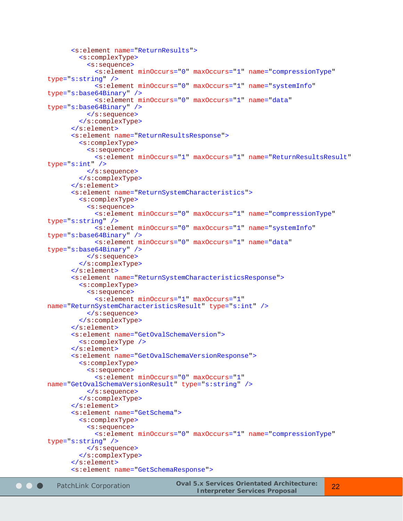```
<s:element name="ReturnResults">
        <s:complexType>
          <s:sequence>
            <s:element minOccurs="0" maxOccurs="1" name="compressionType"
type="s:string" />
            <s:element minOccurs="0" maxOccurs="1" name="systemInfo"
type="s:base64Binary" />
            <s:element minOccurs="0" maxOccurs="1" name="data"
type="s:base64Binary" />
          </s:sequence>
        </s:complexType>
      </s:element>
      <s:element name="ReturnResultsResponse">
        <s:complexType>
          <s:sequence>
            <s:element minOccurs="1" maxOccurs="1" name="ReturnResultsResult"
type="s:int" />
          </s:sequence>
        </s:complexType>
      </s:element>
      <s:element name="ReturnSystemCharacteristics">
        <s:complexType>
          <s:sequence>
            <s:element minOccurs="0" maxOccurs="1" name="compressionType"
type="s:string" />
            <s:element minOccurs="0" maxOccurs="1" name="systemInfo"
type="s:base64Binary" />
            <s:element minOccurs="0" maxOccurs="1" name="data"
type="s:base64Binary" />
          </s:sequence>
        </s:complexType>
      </s:element>
      <s:element name="ReturnSystemCharacteristicsResponse">
        <s:complexType>
          <s:sequence>
            <s:element minOccurs="1" maxOccurs="1"
name="ReturnSystemCharacteristicsResult" type="s:int" />
          </s:sequence>
        </s:complexType>
      </s:element>
      <s:element name="GetOvalSchemaVersion">
        <s:complexType />
      </s:element>
      <s:element name="GetOvalSchemaVersionResponse">
        <s:complexType>
          <s:sequence>
            <s:element minOccurs="0" maxOccurs="1"
name="GetOvalSchemaVersionResult" type="s:string" />
          </s:sequence>
        </s:complexType>
      </s:element>
      <s:element name="GetSchema">
        <s:complexType>
          <s:sequence>
            <s:element minOccurs="0" maxOccurs="1" name="compressionType"
type="s:string" />
          </s:sequence>
        </s:complexType>
      </s:element>
      <s:element name="GetSchemaResponse">
```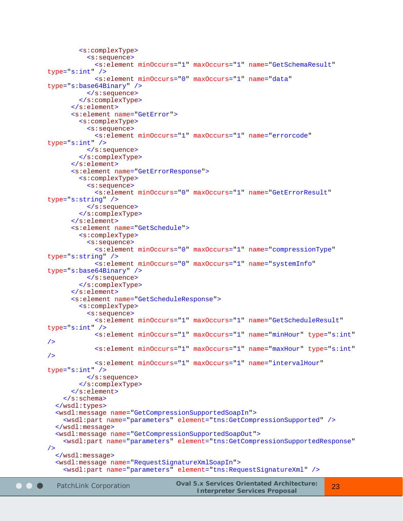```
PatchLink Corporation Concept Coval 5.x Services Orientated Architecture:
                                          Interpreter Services Proposal 23
            <s:complexType>
              <s:sequence>
                <s:element minOccurs="1" maxOccurs="1" name="GetSchemaResult"
    type="s:int" />
                <s:element minOccurs="0" maxOccurs="1" name="data"
    type="s:base64Binary" />
              </s:sequence>
            </s:complexType>
          </s:element>
          <s:element name="GetError">
            <s:complexType>
              <s:sequence>
                <s:element minOccurs="1" maxOccurs="1" name="errorcode"
    type="s:int" />
              </s:sequence>
            </s:complexType>
          </s:element>
          <s:element name="GetErrorResponse">
            <s:complexType>
              <s:sequence>
                <s:element minOccurs="0" maxOccurs="1" name="GetErrorResult"
    type="s:string" />
              </s:sequence>
            </s:complexType>
          </s:element>
          <s:element name="GetSchedule">
            <s:complexType>
              <s:sequence>
                <s:element minOccurs="0" maxOccurs="1" name="compressionType"
    type="s:string" />
                <s:element minOccurs="0" maxOccurs="1" name="systemInfo"
    type="s:base64Binary" />
              </s:sequence>
            </s:complexType>
          </s:element>
          <s:element name="GetScheduleResponse">
            <s:complexType>
              <s:sequence>
                <s:element minOccurs="1" maxOccurs="1" name="GetScheduleResult"
    type="s:int" />
                <s:element minOccurs="1" maxOccurs="1" name="minHour" type="s:int"
    />
                <s:element minOccurs="1" maxOccurs="1" name="maxHour" type="s:int"
    />
                <s:element minOccurs="1" maxOccurs="1" name="intervalHour"
    type="s:int" />
              </s:sequence>
            </s:complexType>
          </s:element>
        \langles:schema>
      </wsdl:types>
      <wsdl:message name="GetCompressionSupportedSoapIn">
        <wsdl:part name="parameters" element="tns:GetCompressionSupported" />
      </wsdl:message>
      <wsdl:message name="GetCompressionSupportedSoapOut">
        <wsdl:part name="parameters" element="tns:GetCompressionSupportedResponse"
    />
      </wsdl:message>
      <wsdl:message name="RequestSignatureXmlSoapIn">
        <wsdl:part name="parameters" element="tns:RequestSignatureXml" />
```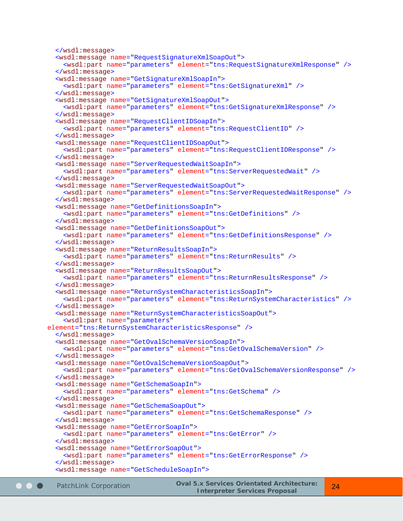```
</wsdl:message>
  <wsdl:message name="RequestSignatureXmlSoapOut">
    <wsdl:part name="parameters" element="tns:RequestSignatureXmlResponse" />
  </wsdl:message>
  <wsdl:message name="GetSignatureXmlSoapIn">
    <wsdl:part name="parameters" element="tns:GetSignatureXml" />
  </wsdl:message>
  <wsdl:message name="GetSignatureXmlSoapOut">
    <wsdl:part name="parameters" element="tns:GetSignatureXmlResponse" />
  </wsdl:message>
  <wsdl:message name="RequestClientIDSoapIn">
    <wsdl:part name="parameters" element="tns:RequestClientID" />
  </wsdl:message>
  <wsdl:message name="RequestClientIDSoapOut">
    <wsdl:part name="parameters" element="tns:RequestClientIDResponse" />
  </wsdl:message>
  <wsdl:message name="ServerRequestedWaitSoapIn">
    <wsdl:part name="parameters" element="tns:ServerRequestedWait" />
  </wsdl:message>
  <wsdl:message name="ServerRequestedWaitSoapOut">
    <wsdl:part name="parameters" element="tns:ServerRequestedWaitResponse" />
  </wsdl:message>
  <wsdl:message name="GetDefinitionsSoapIn">
    <wsdl:part name="parameters" element="tns:GetDefinitions" />
  </wsdl:message>
  <wsdl:message name="GetDefinitionsSoapOut">
    <wsdl:part name="parameters" element="tns:GetDefinitionsResponse" />
  </wsdl:message>
  <wsdl:message name="ReturnResultsSoapIn">
    <wsdl:part name="parameters" element="tns:ReturnResults" />
  </wsdl:message>
  <wsdl:message name="ReturnResultsSoapOut">
    <wsdl:part name="parameters" element="tns:ReturnResultsResponse" />
  </wsdl:message>
  <wsdl:message name="ReturnSystemCharacteristicsSoapIn">
    <wsdl:part name="parameters" element="tns:ReturnSystemCharacteristics" />
  </wsdl:message>
  <wsdl:message name="ReturnSystemCharacteristicsSoapOut">
    <wsdl:part name="parameters"
element="tns:ReturnSystemCharacteristicsResponse" />
  </wsdl:message>
  <wsdl:message name="GetOvalSchemaVersionSoapIn">
    <wsdl:part name="parameters" element="tns:GetOvalSchemaVersion" />
  </wsdl:message>
  <wsdl:message name="GetOvalSchemaVersionSoapOut">
    <wsdl:part name="parameters" element="tns:GetOvalSchemaVersionResponse" />
  </wsdl:message>
  <wsdl:message name="GetSchemaSoapIn">
    <wsdl:part name="parameters" element="tns:GetSchema" />
  </wsdl:message>
  <wsdl:message name="GetSchemaSoapOut">
    <wsdl:part name="parameters" element="tns:GetSchemaResponse" />
  </wsdl:message>
  <wsdl:message name="GetErrorSoapIn">
    <wsdl:part name="parameters" element="tns:GetError" />
  </wsdl:message>
  <wsdl:message name="GetErrorSoapOut">
    <wsdl:part name="parameters" element="tns:GetErrorResponse" />
  </wsdl:message>
  <wsdl:message name="GetScheduleSoapIn">
```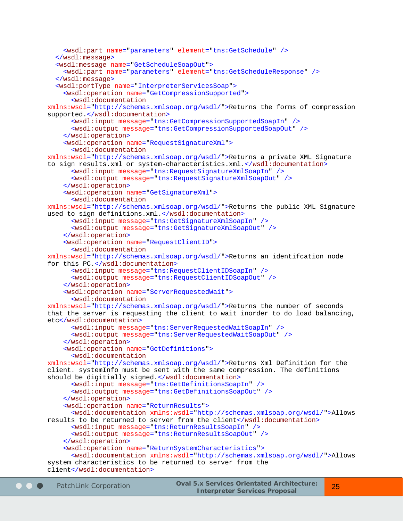```
<wsdl:part name="parameters" element="tns:GetSchedule" />
  </wsdl:message>
  <wsdl:message name="GetScheduleSoapOut">
    <wsdl:part name="parameters" element="tns:GetScheduleResponse" />
  </wsdl:message>
  <wsdl:portType name="InterpreterServicesSoap">
    <wsdl:operation name="GetCompressionSupported">
      <wsdl:documentation
xmlns:wsdl="http://schemas.xmlsoap.org/wsdl/">Returns the forms of compression
supported.</wsdl:documentation>
      <wsdl:input message="tns:GetCompressionSupportedSoapIn" />
      <wsdl:output message="tns:GetCompressionSupportedSoapOut" />
    </wsdl:operation>
    <wsdl:operation name="RequestSignatureXml">
      <wsdl:documentation
xmlns:wsdl="http://schemas.xmlsoap.org/wsdl/">Returns a private XML Signature
to sign results.xml or system-characteristics.xml.</wsdl:documentation>
      <wsdl:input message="tns:RequestSignatureXmlSoapIn" />
      <wsdl:output message="tns:RequestSignatureXmlSoapOut" />
    </wsdl:operation>
    <wsdl:operation name="GetSignatureXml">
      <wsdl:documentation
xmlns:wsdl="http://schemas.xmlsoap.org/wsdl/">Returns the public XML Signature
used to sign definitions.xml.</wsdl:documentation>
      <wsdl:input message="tns:GetSignatureXmlSoapIn" />
      <wsdl:output message="tns:GetSignatureXmlSoapOut" />
    </wsdl:operation>
    <wsdl:operation name="RequestClientID">
      <wsdl:documentation
xmlns:wsdl="http://schemas.xmlsoap.org/wsdl/">Returns an identifcation node
for this PC.</wsdl:documentation>
      <wsdl:input message="tns:RequestClientIDSoapIn" />
      <wsdl:output message="tns:RequestClientIDSoapOut" />
    </wsdl:operation>
    <wsdl:operation name="ServerRequestedWait">
      <wsdl:documentation
xmlns:wsdl="http://schemas.xmlsoap.org/wsdl/">Returns the number of seconds
that the server is requesting the client to wait inorder to do load balancing,
etc</wsdl:documentation>
      <wsdl:input message="tns:ServerRequestedWaitSoapIn" />
      <wsdl:output message="tns:ServerRequestedWaitSoapOut" />
    </wsdl:operation>
    <wsdl:operation name="GetDefinitions">
      <wsdl:documentation
xmlns:wsdl="http://schemas.xmlsoap.org/wsdl/">Returns Xml Definition for the
client. systemInfo must be sent with the same compression. The definitions
should be digitially signed.</wsdl:documentation>
      <wsdl:input message="tns:GetDefinitionsSoapIn" />
      <wsdl:output message="tns:GetDefinitionsSoapOut" />
    </wsdl:operation>
    <wsdl:operation name="ReturnResults">
      <wsdl:documentation xmlns:wsdl="http://schemas.xmlsoap.org/wsdl/">Allows
results to be returned to server from the client</wsdl:documentation>
      <wsdl:input message="tns:ReturnResultsSoapIn" />
      <wsdl:output message="tns:ReturnResultsSoapOut" />
    </wsdl:operation>
    <wsdl:operation name="ReturnSystemCharacteristics">
      <wsdl:documentation xmlns:wsdl="http://schemas.xmlsoap.org/wsdl/">Allows
system characteristics to be returned to server from the
client</wsdl:documentation>
```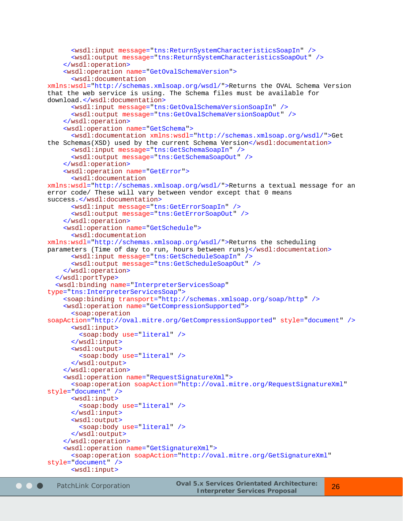```
<wsdl:input message="tns:ReturnSystemCharacteristicsSoapIn" />
      <wsdl:output message="tns:ReturnSystemCharacteristicsSoapOut" />
    </wsdl:operation>
    <wsdl:operation name="GetOvalSchemaVersion">
      <wsdl:documentation
xmlns:wsdl="http://schemas.xmlsoap.org/wsdl/">Returns the OVAL Schema Version
that the web service is using. The Schema files must be available for
download.</wsdl:documentation>
      <wsdl:input message="tns:GetOvalSchemaVersionSoapIn" />
      <wsdl:output message="tns:GetOvalSchemaVersionSoapOut" />
    </wsdl:operation>
    <wsdl:operation name="GetSchema">
      <wsdl:documentation xmlns:wsdl="http://schemas.xmlsoap.org/wsdl/">Get
the Schemas(XSD) used by the current Schema Version</wsdl:documentation>
      <wsdl:input message="tns:GetSchemaSoapIn" />
      <wsdl:output message="tns:GetSchemaSoapOut" />
    </wsdl:operation>
    <wsdl:operation name="GetError">
      <wsdl:documentation
xmlns:wsdl="http://schemas.xmlsoap.org/wsdl/">Returns a textual message for an
error code/ These will vary between vendor except that 0 means
success.</wsdl:documentation>
      <wsdl:input message="tns:GetErrorSoapIn" />
      <wsdl:output message="tns:GetErrorSoapOut" />
    </wsdl:operation>
    <wsdl:operation name="GetSchedule">
      <wsdl:documentation
xmlns:wsdl="http://schemas.xmlsoap.org/wsdl/">Returns the scheduling
parameters (Time of day to run, hours between runs)</wsdl:documentation>
      <wsdl:input message="tns:GetScheduleSoapIn" />
      <wsdl:output message="tns:GetScheduleSoapOut" />
    </wsdl:operation>
  </wsdl:portType>
  <wsdl:binding name="InterpreterServicesSoap"
type="tns:InterpreterServicesSoap">
    <soap:binding transport="http://schemas.xmlsoap.org/soap/http" />
    <wsdl:operation name="GetCompressionSupported">
      <soap:operation
soapAction="http://oval.mitre.org/GetCompressionSupported" style="document" />
      <wsdl:input>
        <soap:body use="literal" />
      </wsdl:input>
      <wsdl:output>
        <soap:body use="literal" />
      </wsdl:output>
    </wsdl:operation>
    <wsdl:operation name="RequestSignatureXml">
      <soap:operation soapAction="http://oval.mitre.org/RequestSignatureXml"
style="document" />
      <wsdl:input>
        <soap:body use="literal" />
      </wsdl:input>
      <wsdl:output>
        <soap:body use="literal" />
      </wsdl:output>
    </wsdl:operation>
    <wsdl:operation name="GetSignatureXml">
      <soap:operation soapAction="http://oval.mitre.org/GetSignatureXml"
style="document" />
      <wsdl:input>
```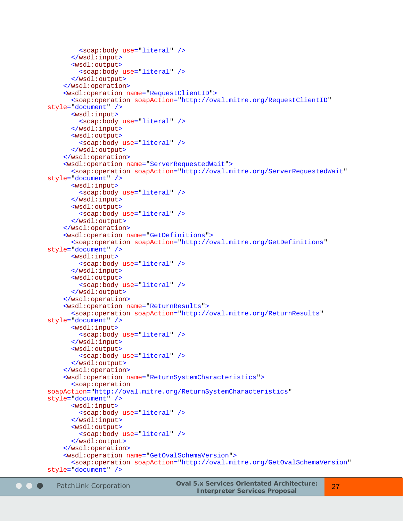```
<soap:body use="literal" />
      </wsdl:input>
      <wsdl:output>
        <soap:body use="literal" />
      </wsdl:output>
    </wsdl:operation>
    <wsdl:operation name="RequestClientID">
      <soap:operation soapAction="http://oval.mitre.org/RequestClientID"
style="document" />
      <wsdl:input>
        <soap:body use="literal" />
      </wsdl:input>
      <wsdl:output>
        <soap:body use="literal" />
      </wsdl:output>
    </wsdl:operation>
    <wsdl:operation name="ServerRequestedWait">
      <soap:operation soapAction="http://oval.mitre.org/ServerRequestedWait"
style="document" />
      <wsdl:input>
        <soap:body use="literal" />
      </wsdl:input>
      <wsdl:output>
        <soap:body use="literal" />
      </wsdl:output>
    </wsdl:operation>
    <wsdl:operation name="GetDefinitions">
      <soap:operation soapAction="http://oval.mitre.org/GetDefinitions"
style="document" />
      <wsdl:input>
        <soap:body use="literal" />
      </wsdl:input>
      <wsdl:output>
        <soap:body use="literal" />
      </wsdl:output>
    </wsdl:operation>
    <wsdl:operation name="ReturnResults">
      <soap:operation soapAction="http://oval.mitre.org/ReturnResults"
style="document" />
      <wsdl:input>
        <soap:body use="literal" />
      </wsdl:input>
      <wsdl:output>
        <soap:body use="literal" />
      </wsdl:output>
    </wsdl:operation>
    <wsdl:operation name="ReturnSystemCharacteristics">
      <soap:operation
soapAction="http://oval.mitre.org/ReturnSystemCharacteristics"
style="document" />
      <wsdl:input>
        <soap:body use="literal" />
      </wsdl:input>
      <wsdl:output>
        <soap:body use="literal" />
      </wsdl:output>
    </wsdl:operation>
    <wsdl:operation name="GetOvalSchemaVersion">
      <soap:operation soapAction="http://oval.mitre.org/GetOvalSchemaVersion"
style="document" />
```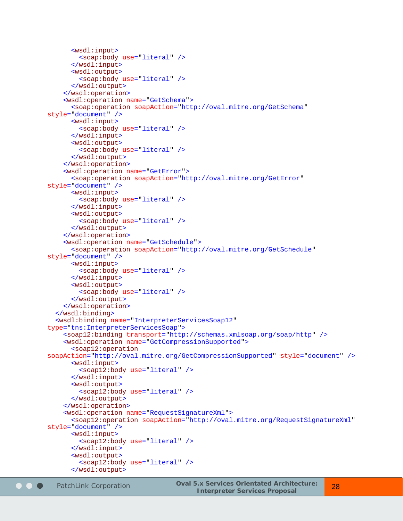```
<wsdl:input>
        <soap:body use="literal" />
      </wsdl:input>
      <wsdl:output>
        <soap:body use="literal" />
      </wsdl:output>
    </wsdl:operation>
    <wsdl:operation name="GetSchema">
      <soap:operation soapAction="http://oval.mitre.org/GetSchema"
style="document" />
      <wsdl:input>
        <soap:body use="literal" />
      </wsdl:input>
      <wsdl:output>
        <soap:body use="literal" />
      </wsdl:output>
    </wsdl:operation>
    <wsdl:operation name="GetError">
      <soap:operation soapAction="http://oval.mitre.org/GetError"
style="document" />
      <wsdl:input>
        <soap:body use="literal" />
      </wsdl:input>
      <wsdl:output>
        <soap:body use="literal" />
      </wsdl:output>
    </wsdl:operation>
    <wsdl:operation name="GetSchedule">
      <soap:operation soapAction="http://oval.mitre.org/GetSchedule"
style="document" />
      <wsdl:input>
        <soap:body use="literal" />
      </wsdl:input>
      <wsdl:output>
        <soap:body use="literal" />
      </wsdl:output>
    </wsdl:operation>
  </wsdl:binding>
  <wsdl:binding name="InterpreterServicesSoap12"
type="tns:InterpreterServicesSoap">
    <soap12:binding transport="http://schemas.xmlsoap.org/soap/http" />
    <wsdl:operation name="GetCompressionSupported">
      <soap12:operation
soapAction="http://oval.mitre.org/GetCompressionSupported" style="document" />
      <wsdl:input>
        <soap12:body use="literal" />
      </wsdl:input>
      <wsdl:output>
        <soap12:body use="literal" />
      </wsdl:output>
    </wsdl:operation>
    <wsdl:operation name="RequestSignatureXml">
      <soap12:operation soapAction="http://oval.mitre.org/RequestSignatureXml"
style="document" />
      <wsdl:input>
        <soap12:body use="literal" />
      </wsdl:input>
      <wsdl:output>
        <soap12:body use="literal" />
      </wsdl:output>
```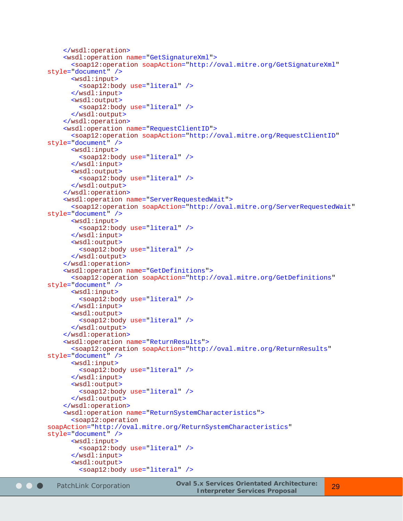```
</wsdl:operation>
    <wsdl:operation name="GetSignatureXml">
      <soap12:operation soapAction="http://oval.mitre.org/GetSignatureXml"
style="document" />
      <wsdl:input>
        <soap12:body use="literal" />
      </wsdl:input>
      <wsdl:output>
        <soap12:body use="literal" />
      </wsdl:output>
    </wsdl:operation>
    <wsdl:operation name="RequestClientID">
      <soap12:operation soapAction="http://oval.mitre.org/RequestClientID"
style="document" />
      <wsdl:input>
        <soap12:body use="literal" />
      </wsdl:input>
      <wsdl:output>
        <soap12:body use="literal" />
      </wsdl:output>
    </wsdl:operation>
    <wsdl:operation name="ServerRequestedWait">
      <soap12:operation soapAction="http://oval.mitre.org/ServerRequestedWait"
style="document" />
      <wsdl:input>
        <soap12:body use="literal" />
      </wsdl:input>
      <wsdl:output>
        <soap12:body use="literal" />
      </wsdl:output>
    </wsdl:operation>
    <wsdl:operation name="GetDefinitions">
      <soap12:operation soapAction="http://oval.mitre.org/GetDefinitions"
style="document" />
      <wsdl:input>
        <soap12:body use="literal" />
      </wsdl:input>
      <wsdl:output>
        <soap12:body use="literal" />
      </wsdl:output>
    </wsdl:operation>
    <wsdl:operation name="ReturnResults">
      <soap12:operation soapAction="http://oval.mitre.org/ReturnResults"
style="document" />
      <wsdl:input>
        <soap12:body use="literal" />
      </wsdl:input>
      <wsdl:output>
        <soap12:body use="literal" />
      </wsdl:output>
    </wsdl:operation>
    <wsdl:operation name="ReturnSystemCharacteristics">
      <soap12:operation
soapAction="http://oval.mitre.org/ReturnSystemCharacteristics"
style="document" />
      <wsdl:input>
        <soap12:body use="literal" />
      </wsdl:input>
      <wsdl:output>
        <soap12:body use="literal" />
```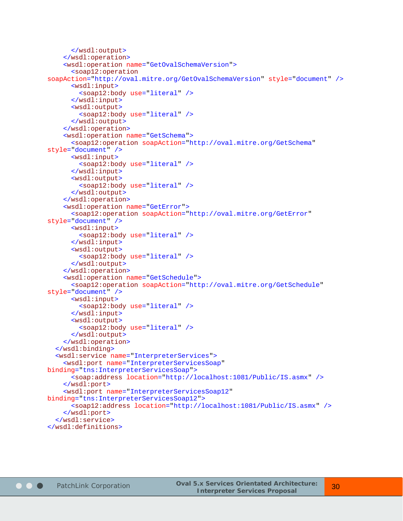```
</wsdl:output>
    </wsdl:operation>
    <wsdl:operation name="GetOvalSchemaVersion">
      <soap12:operation
soapAction="http://oval.mitre.org/GetOvalSchemaVersion" style="document" />
      <wsdl:input>
        <soap12:body use="literal" />
      </wsdl:input>
      <wsdl:output>
        <soap12:body use="literal" />
      </wsdl:output>
    </wsdl:operation>
    <wsdl:operation name="GetSchema">
      <soap12:operation soapAction="http://oval.mitre.org/GetSchema"
style="document" />
      <wsdl:input>
        <soap12:body use="literal" />
      </wsdl:input>
      <wsdl:output>
        <soap12:body use="literal" />
      </wsdl:output>
    </wsdl:operation>
    <wsdl:operation name="GetError">
      <soap12:operation soapAction="http://oval.mitre.org/GetError"
style="document" />
      <wsdl:input>
        <soap12:body use="literal" />
      </wsdl:input>
      <wsdl:output>
        <soap12:body use="literal" />
      </wsdl:output>
    </wsdl:operation>
    <wsdl:operation name="GetSchedule">
      <soap12:operation soapAction="http://oval.mitre.org/GetSchedule"
style="document" />
      <wsdl:input>
        <soap12:body use="literal" />
      </wsdl:input>
      <wsdl:output>
        <soap12:body use="literal" />
      </wsdl:output>
    </wsdl:operation>
  </wsdl:binding>
  <wsdl:service name="InterpreterServices">
    <wsdl:port name="InterpreterServicesSoap"
binding="tns:InterpreterServicesSoap">
      <soap:address location="http://localhost:1081/Public/IS.asmx" />
    </wsdl:port>
    <wsdl:port name="InterpreterServicesSoap12"
binding="tns:InterpreterServicesSoap12">
      <soap12:address location="http://localhost:1081/Public/IS.asmx" />
    </wsdl:port>
  </wsdl:service>
</wsdl:definitions>
```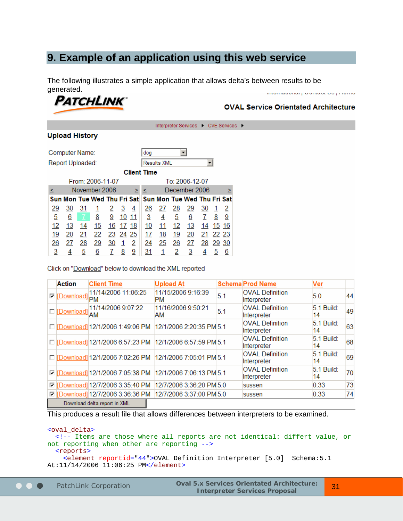# **9. Example of an application using this web service**

The following illustrates a simple application that allows delta's between results to be generated. maniananan'i Somala de France



#### **OVAL Service Orientated Architecture**

Interpreter Services > CVE Services >

#### **Upload History**

| Computer Name: |                  |    |                                                         |                 |       |          |                    |                    |           |                |    |       |   |
|----------------|------------------|----|---------------------------------------------------------|-----------------|-------|----------|--------------------|--------------------|-----------|----------------|----|-------|---|
|                | Report Uploaded: |    |                                                         |                 |       |          |                    | <b>Results XML</b> |           |                |    |       |   |
|                |                  |    |                                                         |                 |       |          | <b>Client Time</b> |                    |           |                |    |       |   |
|                |                  |    | From: 2006-11-07                                        |                 |       |          |                    |                    |           | To: 2006-12-07 |    |       |   |
|                |                  |    | November 2006                                           |                 |       | ⋗        | ≤                  |                    |           | December 2006  |    |       | ≥ |
|                |                  |    | Sun Mon Tue Wed Thu Fri Sat Sun Mon Tue Wed Thu Fri Sat |                 |       |          |                    |                    |           |                |    |       |   |
| <u> 29</u>     | 30               | 31 | 1                                                       | 2.              | 3     | 4        | 26                 | 27 28              |           | <u>29</u>      | 30 |       | 2 |
| 5              | 6                |    | <u>8</u>                                                | <u>9</u>        | 10 11 |          | 3                  | 4                  | 5         | 6              | 7  | 8     | 9 |
| <u>12</u>      | 13               | 14 | <u>15</u>                                               | <u>16 17 18</u> |       |          | 10                 | 11                 | 12        | <u>13</u>      | 14 | 15 16 |   |
| 19             | 20               | 21 | 22                                                      | 23 24 25        |       |          | 17                 | 18                 | <u>19</u> | 20             | 21 | 22 23 |   |
| <u>26</u>      | 27               | 28 | 29                                                      | 30              | 1     | 2        | 24                 | <u> 25</u>         | 26        | 27             | 28 | 29 30 |   |
| 3              | 4                | 5  | <u>6</u>                                                |                 | 8     | <u>9</u> | <u>31</u>          |                    | 2         | 3              |    |       | 6 |

Click on "Download" below to download the XML reported

| <b>Action</b> | <b>Client Time</b>                                           | <b>Upload At</b>          |     | <b>Schema Prod Name</b>               | <b>Ver</b>         |    |
|---------------|--------------------------------------------------------------|---------------------------|-----|---------------------------------------|--------------------|----|
| □ [Download]  | 11/14/2006 11:06:25<br>PМ                                    | 11/15/2006 9:16:39<br>IРM | 5.1 | <b>OVAL Definition</b><br>Interpreter | 5.0                | 44 |
| □ [Download]  | 11/14/2006 9:07:22<br>ΑM                                     | 11/16/2006 9:50:21<br>AM  | 5.1 | <b>OVAL Definition</b><br>Interpreter | 5.1 Build:<br>14   | 49 |
|               | □ [Download] 12/1/2006 1:49:06 PM   12/1/2006 2:20:35 PM 5.1 |                           |     | <b>OVAL Definition</b><br>Interpreter | 5.1 Build:<br>14   | 63 |
|               | □ [Download] 12/1/2006 6:57:23 PM   12/1/2006 6:57:59 PM 5.1 |                           |     | <b>OVAL Definition</b><br>Interpreter | $5.1$ Build:<br>14 | 68 |
|               | □ [Download] 12/1/2006 7:02:26 PM   12/1/2006 7:05:01 PM 5.1 |                           |     | <b>OVAL Definition</b><br>Interpreter | 5.1 Build:<br>14   | 69 |
|               | ⊡ [Download] 12/1/2006 7:05:38 PM   12/1/2006 7:06:13 PM 5.1 |                           |     | <b>OVAL Definition</b><br>Interpreter | 5.1 Build:<br>14   | 70 |
|               | □ Download 12/7/2006 3:35:40 PM                              | 12/7/2006 3:36:20 PM 5.0  |     | sussen                                | 0.33               | 73 |
|               | ☑ [Download] 12/7/2006 3:36:36 PM   12/7/2006 3:37:00 PM 5.0 |                           |     | sussen                                | 0.33               | 74 |
|               | Download delta report in XML                                 |                           |     |                                       |                    |    |

This produces a result file that allows differences between interpreters to be examined.

#### <oval\_delta>

<!-- Items are those where all reports are not identical: differt value, or not reporting when other are reporting --> <reports> <element reportid="44">OVAL Definition Interpreter [5.0] Schema:5.1 At:11/14/2006 11:06:25 PM</element>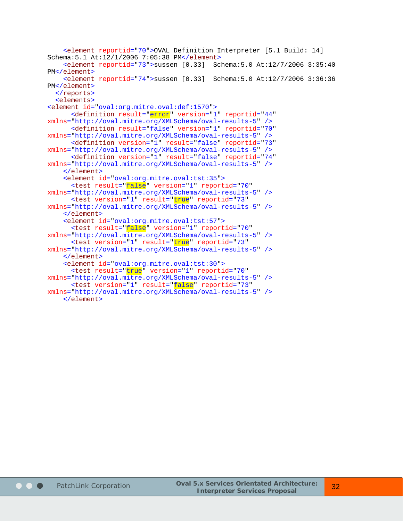```
<element reportid="70">OVAL Definition Interpreter [5.1 Build: 14]
Schema:5.1 At:12/1/2006 7:05:38 PM</element>
    <element reportid="73">sussen [0.33] Schema:5.0 At:12/7/2006 3:35:40
PM</element>
    <element reportid="74">sussen [0.33] Schema:5.0 At:12/7/2006 3:36:36
PM</element>
  </reports>
  <elements>
<element id="oval:org.mitre.oval:def:1570">
      <definition result="error" version="1" reportid="44"
xmlns="http://oval.mitre.org/XMLSchema/oval-results-5" />
      <definition result="false" version="1" reportid="70"
xmlns="http://oval.mitre.org/XMLSchema/oval-results-5" />
      <definition version="1" result="false" reportid="73"
xmlns="http://oval.mitre.org/XMLSchema/oval-results-5" />
      <definition version="1" result="false" reportid="74"
xmlns="http://oval.mitre.org/XMLSchema/oval-results-5" />
    </element>
    <element id="oval:org.mitre.oval:tst:35">
      <test result="false" version="1" reportid="70"
xmlns="http://oval.mitre.org/XMLSchema/oval-results-5" />
      <test version="1" result="true" reportid="73"
xmlns="http://oval.mitre.org/XMLSchema/oval-results-5" />
    </element>
    <element id="oval:org.mitre.oval:tst:57">
      <test result="false" version="1" reportid="70"
xmlns="http://oval.mitre.org/XMLSchema/oval-results-5" />
      <test version="1" result="true" reportid="73"
xmlns="http://oval.mitre.org/XMLSchema/oval-results-5" />
    </element>
    <element id="oval:org.mitre.oval:tst:30">
      <test result="true" version="1" reportid="70"
xmlns="http://oval.mitre.org/XMLSchema/oval-results-5" />
      <test version="1" result="false" reportid="73"
xmlns="http://oval.mitre.org/XMLSchema/oval-results-5" />
    </element>
```